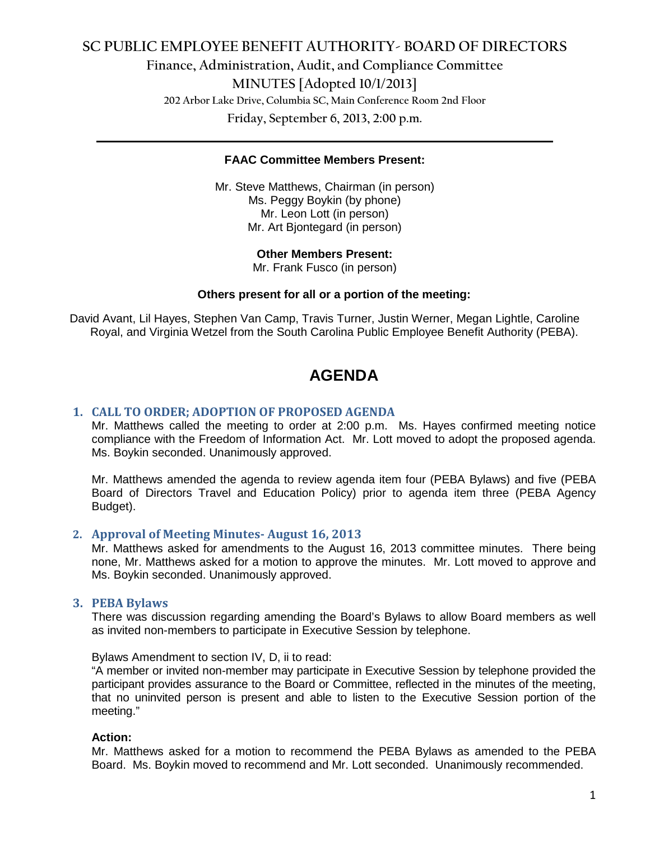# **SC PUBLIC EMPLOYEE BENEFIT AUTHORITY- BOARD OF DIRECTORS Finance, Administration, Audit, and Compliance Committee MINUTES [Adopted 10/1/2013] 202 Arbor Lake Drive, Columbia SC, Main Conference Room 2nd Floor Friday, September 6, 2013, 2:00 p.m.**

#### **FAAC Committee Members Present:**

**\_\_\_\_\_\_\_\_\_\_\_\_\_\_\_\_\_\_\_\_\_\_\_\_\_\_\_\_\_\_\_\_\_\_\_\_\_\_\_\_\_\_\_\_\_\_\_\_\_\_\_\_\_\_\_\_\_\_\_\_\_\_\_\_\_\_\_\_\_\_\_\_**

Mr. Steve Matthews, Chairman (in person) Ms. Peggy Boykin (by phone) Mr. Leon Lott (in person) Mr. Art Bjontegard (in person)

#### **Other Members Present:**

Mr. Frank Fusco (in person)

#### **Others present for all or a portion of the meeting:**

David Avant, Lil Hayes, Stephen Van Camp, Travis Turner, Justin Werner, Megan Lightle, Caroline Royal, and Virginia Wetzel from the South Carolina Public Employee Benefit Authority (PEBA).

# **AGENDA**

#### **1. CALL TO ORDER; ADOPTION OF PROPOSED AGENDA**

Mr. Matthews called the meeting to order at 2:00 p.m. Ms. Hayes confirmed meeting notice compliance with the Freedom of Information Act. Mr. Lott moved to adopt the proposed agenda. Ms. Boykin seconded. Unanimously approved.

Mr. Matthews amended the agenda to review agenda item four (PEBA Bylaws) and five (PEBA Board of Directors Travel and Education Policy) prior to agenda item three (PEBA Agency Budget).

#### **2. Approval of Meeting Minutes- August 16, 2013**

Mr. Matthews asked for amendments to the August 16, 2013 committee minutes. There being none, Mr. Matthews asked for a motion to approve the minutes. Mr. Lott moved to approve and Ms. Boykin seconded. Unanimously approved.

#### **3. PEBA Bylaws**

There was discussion regarding amending the Board's Bylaws to allow Board members as well as invited non-members to participate in Executive Session by telephone.

Bylaws Amendment to section IV, D, ii to read:

"A member or invited non-member may participate in Executive Session by telephone provided the participant provides assurance to the Board or Committee, reflected in the minutes of the meeting, that no uninvited person is present and able to listen to the Executive Session portion of the meeting."

#### **Action:**

Mr. Matthews asked for a motion to recommend the PEBA Bylaws as amended to the PEBA Board. Ms. Boykin moved to recommend and Mr. Lott seconded. Unanimously recommended.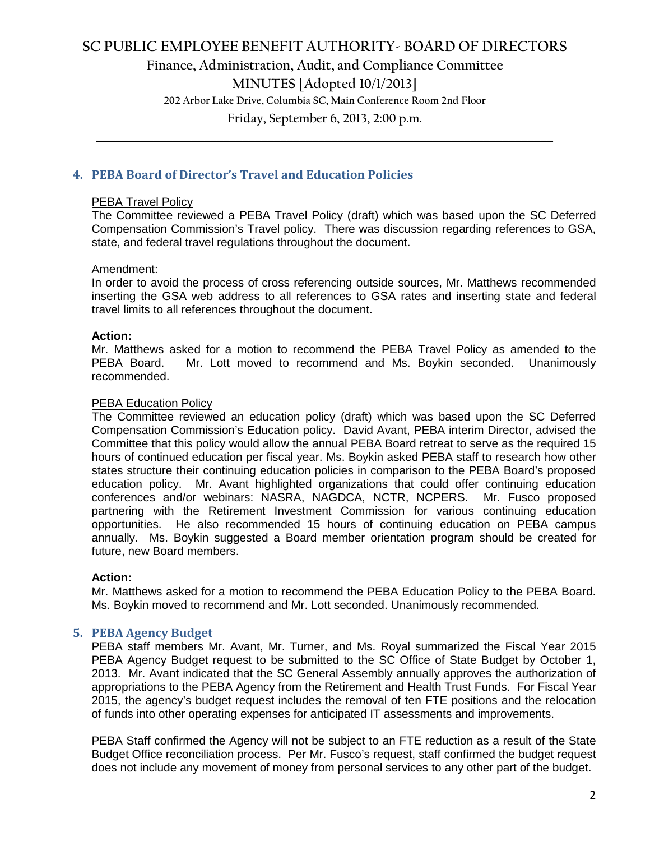# **SC PUBLIC EMPLOYEE BENEFIT AUTHORITY- BOARD OF DIRECTORS Finance, Administration, Audit, and Compliance Committee MINUTES [Adopted 10/1/2013] 202 Arbor Lake Drive, Columbia SC, Main Conference Room 2nd Floor**

**Friday, September 6, 2013, 2:00 p.m. \_\_\_\_\_\_\_\_\_\_\_\_\_\_\_\_\_\_\_\_\_\_\_\_\_\_\_\_\_\_\_\_\_\_\_\_\_\_\_\_\_\_\_\_\_\_\_\_\_\_\_\_\_\_\_\_\_\_\_\_\_\_\_\_\_\_\_\_\_\_\_\_**

# **4. PEBA Board of Director's Travel and Education Policies**

#### PEBA Travel Policy

The Committee reviewed a PEBA Travel Policy (draft) which was based upon the SC Deferred Compensation Commission's Travel policy. There was discussion regarding references to GSA, state, and federal travel regulations throughout the document.

#### Amendment:

In order to avoid the process of cross referencing outside sources, Mr. Matthews recommended inserting the GSA web address to all references to GSA rates and inserting state and federal travel limits to all references throughout the document.

#### **Action:**

Mr. Matthews asked for a motion to recommend the PEBA Travel Policy as amended to the PEBA Board. Mr. Lott moved to recommend and Ms. Boykin seconded. Unanimously recommended.

#### PEBA Education Policy

The Committee reviewed an education policy (draft) which was based upon the SC Deferred Compensation Commission's Education policy. David Avant, PEBA interim Director, advised the Committee that this policy would allow the annual PEBA Board retreat to serve as the required 15 hours of continued education per fiscal year. Ms. Boykin asked PEBA staff to research how other states structure their continuing education policies in comparison to the PEBA Board's proposed education policy. Mr. Avant highlighted organizations that could offer continuing education conferences and/or webinars: NASRA, NAGDCA, NCTR, NCPERS. Mr. Fusco proposed partnering with the Retirement Investment Commission for various continuing education opportunities. He also recommended 15 hours of continuing education on PEBA campus annually. Ms. Boykin suggested a Board member orientation program should be created for future, new Board members.

## **Action:**

Mr. Matthews asked for a motion to recommend the PEBA Education Policy to the PEBA Board. Ms. Boykin moved to recommend and Mr. Lott seconded. Unanimously recommended.

# **5. PEBA Agency Budget**

PEBA staff members Mr. Avant, Mr. Turner, and Ms. Royal summarized the Fiscal Year 2015 PEBA Agency Budget request to be submitted to the SC Office of State Budget by October 1, 2013. Mr. Avant indicated that the SC General Assembly annually approves the authorization of appropriations to the PEBA Agency from the Retirement and Health Trust Funds. For Fiscal Year 2015, the agency's budget request includes the removal of ten FTE positions and the relocation of funds into other operating expenses for anticipated IT assessments and improvements.

PEBA Staff confirmed the Agency will not be subject to an FTE reduction as a result of the State Budget Office reconciliation process. Per Mr. Fusco's request, staff confirmed the budget request does not include any movement of money from personal services to any other part of the budget.